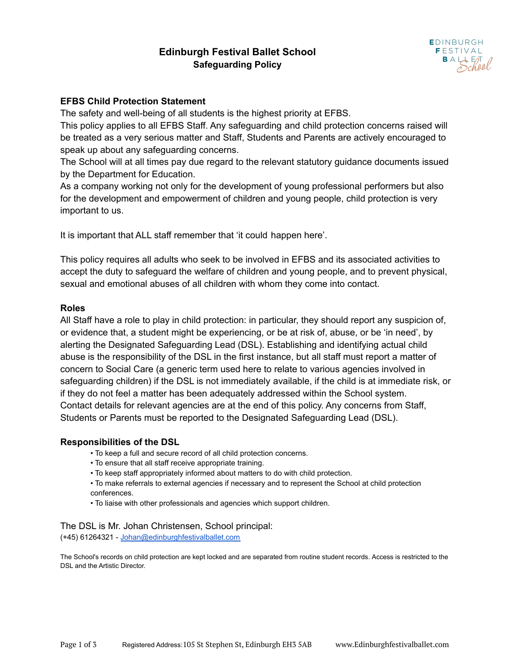# **Edinburgh Festival Ballet School Safeguarding Policy**



#### **EFBS Child Protection Statement**

The safety and well-being of all students is the highest priority at EFBS.

This policy applies to all EFBS Staff. Any safeguarding and child protection concerns raised will be treated as a very serious matter and Staff, Students and Parents are actively encouraged to speak up about any safeguarding concerns.

The School will at all times pay due regard to the relevant statutory guidance documents issued by the Department for Education.

As a company working not only for the development of young professional performers but also for the development and empowerment of children and young people, child protection is very important to us.

It is important that ALL staff remember that 'it could happen here'.

This policy requires all adults who seek to be involved in EFBS and its associated activities to accept the duty to safeguard the welfare of children and young people, and to prevent physical, sexual and emotional abuses of all children with whom they come into contact.

#### **Roles**

All Staff have a role to play in child protection: in particular, they should report any suspicion of, or evidence that, a student might be experiencing, or be at risk of, abuse, or be 'in need', by alerting the Designated Safeguarding Lead (DSL). Establishing and identifying actual child abuse is the responsibility of the DSL in the first instance, but all staff must report a matter of concern to Social Care (a generic term used here to relate to various agencies involved in safeguarding children) if the DSL is not immediately available, if the child is at immediate risk, or if they do not feel a matter has been adequately addressed within the School system. Contact details for relevant agencies are at the end of this policy. Any concerns from Staff, Students or Parents must be reported to the Designated Safeguarding Lead (DSL).

#### **Responsibilities of the DSL**

- To keep a full and secure record of all child protection concerns.
- To ensure that all staff receive appropriate training.
- To keep staff appropriately informed about matters to do with child protection.
- To make referrals to external agencies if necessary and to represent the School at child protection conferences.
- To liaise with other professionals and agencies which support children.

The DSL is Mr. Johan Christensen, School principal: (+45) 61264321 - [Johan@edinburghfestivalballet.com](mailto:Johan@edinburghfestivalballet.com)

The School's records on child protection are kept locked and are separated from routine student records. Access is restricted to the DSL and the Artistic Director.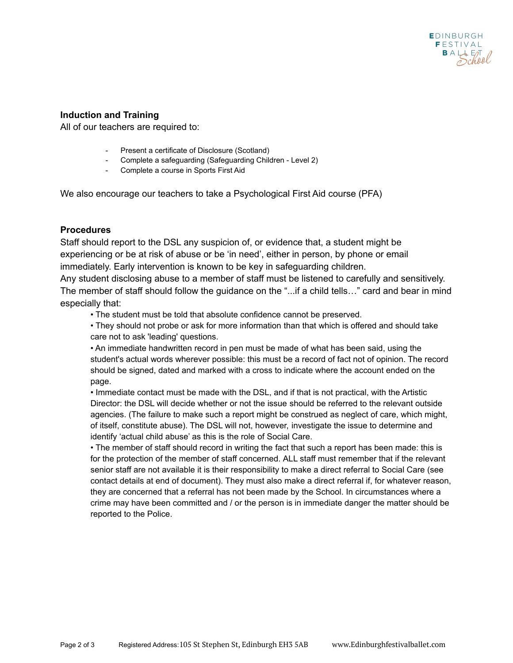## **Induction and Training**

All of our teachers are required to:

- Present a certificate of Disclosure (Scotland)
- Complete a safeguarding (Safeguarding Children Level 2)
- Complete a course in Sports First Aid

We also encourage our teachers to take a Psychological First Aid course (PFA)

## **Procedures**

Staff should report to the DSL any suspicion of, or evidence that, a student might be experiencing or be at risk of abuse or be 'in need', either in person, by phone or email immediately. Early intervention is known to be key in safeguarding children.

Any student disclosing abuse to a member of staff must be listened to carefully and sensitively. The member of staff should follow the guidance on the "...if a child tells…" card and bear in mind especially that:

• The student must be told that absolute confidence cannot be preserved.

• They should not probe or ask for more information than that which is offered and should take care not to ask 'leading' questions.

• An immediate handwritten record in pen must be made of what has been said, using the student's actual words wherever possible: this must be a record of fact not of opinion. The record should be signed, dated and marked with a cross to indicate where the account ended on the page.

• Immediate contact must be made with the DSL, and if that is not practical, with the Artistic Director: the DSL will decide whether or not the issue should be referred to the relevant outside agencies. (The failure to make such a report might be construed as neglect of care, which might, of itself, constitute abuse). The DSL will not, however, investigate the issue to determine and identify 'actual child abuse' as this is the role of Social Care.

• The member of staff should record in writing the fact that such a report has been made: this is for the protection of the member of staff concerned. ALL staff must remember that if the relevant senior staff are not available it is their responsibility to make a direct referral to Social Care (see contact details at end of document). They must also make a direct referral if, for whatever reason, they are concerned that a referral has not been made by the School. In circumstances where a crime may have been committed and / or the person is in immediate danger the matter should be reported to the Police.